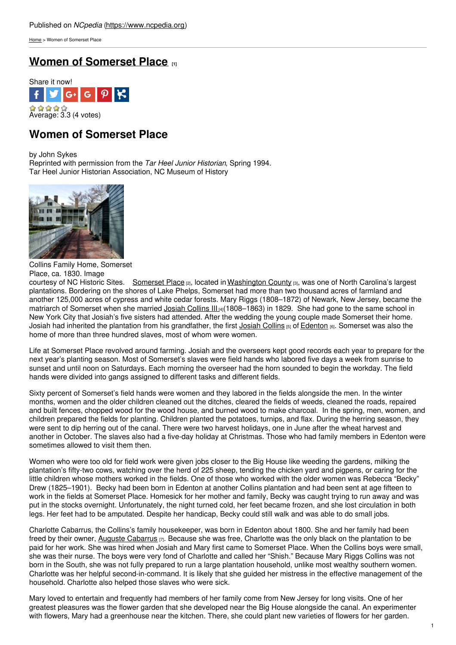[Home](https://www.ncpedia.org/) > Women of Somerset Place

## **Women of [Somerset](https://www.ncpedia.org/history/somerset-place) Place [1]**



# **Women of Somerset Place**

by John Sykes Reprinted with permission from the *Tar Heel Junior Historian*, Spring 1994. Tar Heel Junior Historian Association, NC Museum of History



Collins Family Home, Somerset Place, ca. 1830. Image

courtesy of NC Historic Sites. [Somerset](https://www.ncpedia.org/somerset-place) Place [2], located in [Washington](https://www.ncpedia.org/geography/washington) County [3], was one of North Carolina's largest plantations. Bordering on the shores of Lake Phelps, Somerset had more than two thousand acres of farmland and another 125,000 acres of cypress and white cedar forests. Mary Riggs (1808–1872) of Newark, New Jersey, became the matriarch of Somerset when she married Josiah [Collins](https://www.ncpedia.org/biography/collins-josiah-iii) III<sub>14</sub>(1808–1863) in 1829. She had gone to the same school in New York City that Josiah's five sisters had attended. After the wedding the young couple made Somerset their home. [Josiah](https://www.ncpedia.org/biography/collins-josiah-sr) had inherited the plantation from his grandfather, the first Josiah Collins [5] of [Edenton](https://www.ncpedia.org/edenton) [6]. Somerset was also the home of more than three hundred slaves, most of whom were women.

Life at Somerset Place revolved around farming. Josiah and the overseers kept good records each year to prepare for the next year's planting season. Most of Somerset's slaves were field hands who labored five days a week from sunrise to sunset and until noon on Saturdays. Each morning the overseer had the horn sounded to begin the workday. The field hands were divided into gangs assigned to different tasks and different fields.

Sixty percent of Somerset's field hands were women and they labored in the fields alongside the men. In the winter months, women and the older children cleaned out the ditches, cleared the fields of weeds, cleaned the roads, repaired and built fences, chopped wood for the wood house, and burned wood to make charcoal. In the spring, men, women, and children prepared the fields for planting. Children planted the potatoes, turnips, and flax. During the herring season, they were sent to dip herring out of the canal. There were two harvest holidays, one in June after the wheat harvest and another in October. The slaves also had a five-day holiday at Christmas. Those who had family members in Edenton were sometimes allowed to visit them then.

Women who were too old for field work were given jobs closer to the Big House like weeding the gardens, milking the plantation's fifty-two cows, watching over the herd of 225 sheep, tending the chicken yard and pigpens, or caring for the little children whose mothers worked in the fields. One of those who worked with the older women was Rebecca "Becky" Drew (1825–1901). Becky had been born in Edenton at another Collins plantation and had been sent at age fifteen to work in the fields at Somerset Place. Homesick for her mother and family, Becky was caught trying to run away and was put in the stocks overnight. Unfortunately, the night turned cold, her feet became frozen, and she lost circulation in both legs. Her feet had to be amputated. Despite her handicap, Becky could still walk and was able to do small jobs.

Charlotte Cabarrus, the Collins's family housekeeper, was born in Edenton about 1800. She and her family had been freed by their owner, Auguste [Cabarrus](http://library.uncg.edu/slavery/owship-byowner.aspx?pID=150708&s=2)  $[7]$ . Because she was free, Charlotte was the only black on the plantation to be paid for her work. She was hired when Josiah and Mary first came to Somerset Place. When the Collins boys were small, she was their nurse. The boys were very fond of Charlotte and called her "Shish." Because Mary Riggs Collins was not born in the South, she was not fully prepared to run a large plantation household, unlike most wealthy southern women. Charlotte was her helpful second-in-command. It is likely that she guided her mistress in the effective management of the household. Charlotte also helped those slaves who were sick.

Mary loved to entertain and frequently had members of her family come from New Jersey for long visits. One of her greatest pleasures was the flower garden that she developed near the Big House alongside the canal. An experimenter with flowers, Mary had a greenhouse near the kitchen. There, she could plant new varieties of flowers for her garden.